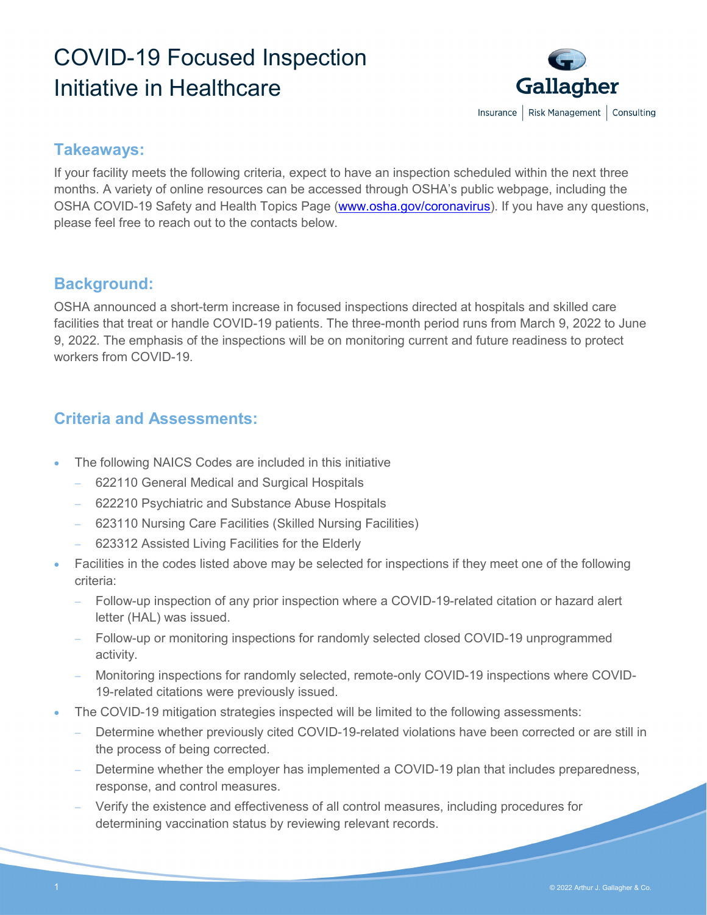## COVID-19 Focused Inspection Initiative in Healthcare



## **Takeaways:**

If your facility meets the following criteria, expect to have an inspection scheduled within the next three months. A variety of online resources can be accessed through OSHA's public webpage, including the OSHA COVID-19 Safety and Health Topics Page [\(www.osha.gov/coronavirus\)](http://www.osha.gov/coronavirus). If you have any questions, please feel free to reach out to the contacts below.

## **Background:**

OSHA announced a short-term increase in focused inspections directed at hospitals and skilled care facilities that treat or handle COVID-19 patients. The three-month period runs from March 9, 2022 to June 9, 2022. The emphasis of the inspections will be on monitoring current and future readiness to protect workers from COVID-19.

## **Criteria and Assessments:**

- The following NAICS Codes are included in this initiative
	- − 622110 General Medical and Surgical Hospitals
	- − 622210 Psychiatric and Substance Abuse Hospitals
	- − 623110 Nursing Care Facilities (Skilled Nursing Facilities)
	- − 623312 Assisted Living Facilities for the Elderly
- Facilities in the codes listed above may be selected for inspections if they meet one of the following criteria:
	- Follow-up inspection of any prior inspection where a COVID-19-related citation or hazard alert letter (HAL) was issued.
	- Follow-up or monitoring inspections for randomly selected closed COVID-19 unprogrammed activity.
	- − Monitoring inspections for randomly selected, remote-only COVID-19 inspections where COVID-19-related citations were previously issued.
- The COVID-19 mitigation strategies inspected will be limited to the following assessments:
	- Determine whether previously cited COVID-19-related violations have been corrected or are still in the process of being corrected.
	- Determine whether the employer has implemented a COVID-19 plan that includes preparedness, response, and control measures.
	- Verify the existence and effectiveness of all control measures, including procedures for determining vaccination status by reviewing relevant records.